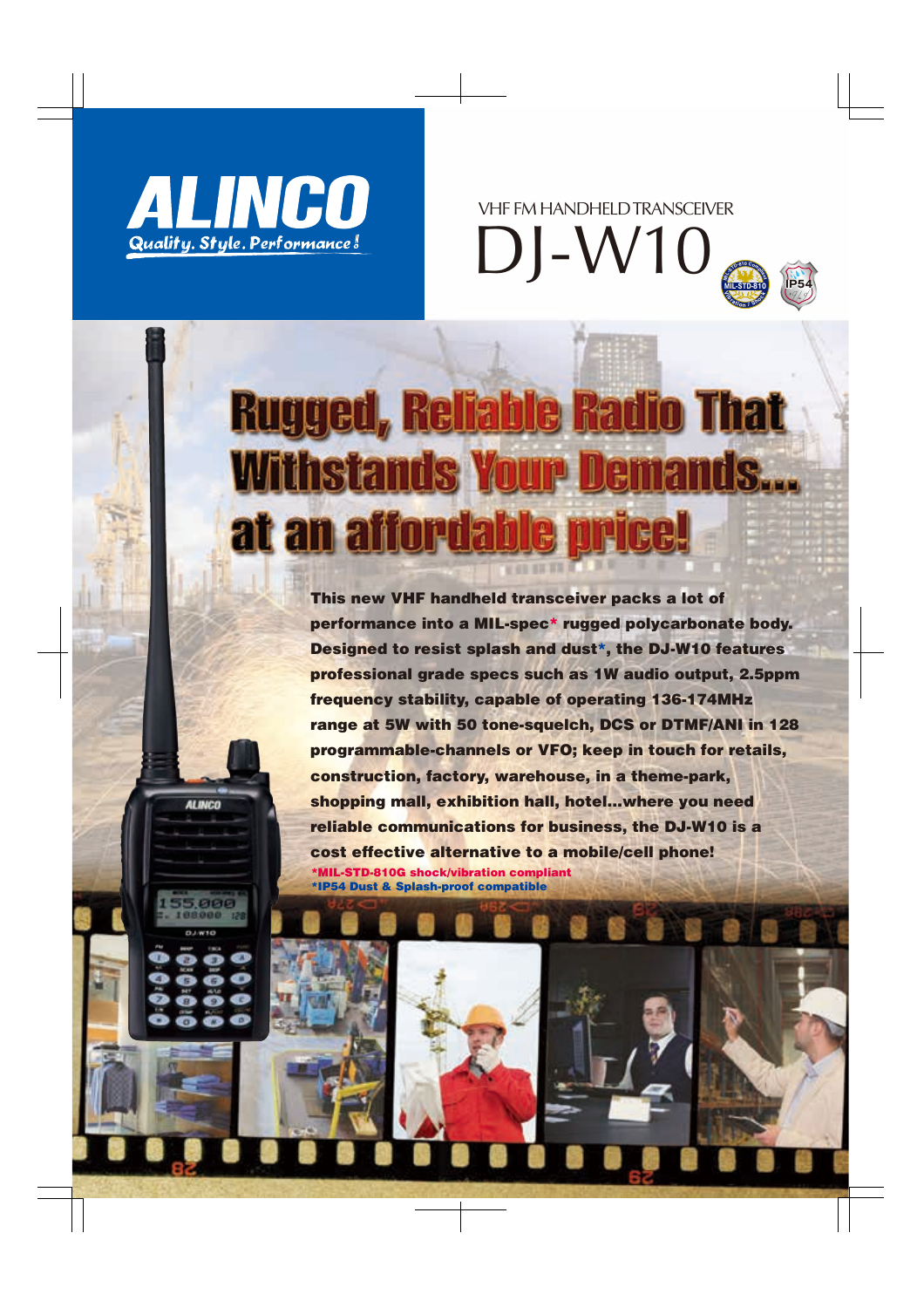

**ALINCO** 





# **Rugged, Reliable Radio That Withstands Your Demands...** at an affordable

This new VHF handheld transceiver packs a lot of performance into a MIL-spec\* rugged polycarbonate body. Designed to resist splash and dust\*, the DJ-W10 features professional grade specs such as 1W audio output, 2.5ppm frequency stability, capable of operating 136-174MHz range at 5W with 50 tone-squelch, DCS or DTMF/ANI in 128 programmable-channels or VFO; keep in touch for retails, construction, factory, warehouse, in a theme-park, shopping mall, exhibition hall, hotel…where you need reliable communications for business, the DJ-W10 is a cost effective alternative to a mobile/cell phone! \*MIL-STD-810G shock/vibration compliant \*IP54 Dust & Splash-proof compatible